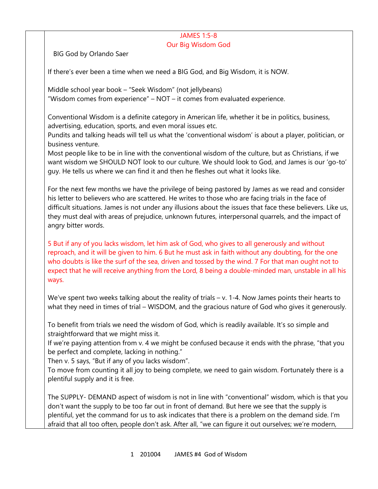#### JAMES 1:5-8 Our Big Wisdom God

BIG God by Orlando Saer

If there's ever been a time when we need a BIG God, and Big Wisdom, it is NOW.

Middle school year book – "Seek Wisdom" (not jellybeans) "Wisdom comes from experience" – NOT – it comes from evaluated experience.

Conventional Wisdom is a definite category in American life, whether it be in politics, business, advertising, education, sports, and even moral issues etc.

Pundits and talking heads will tell us what the 'conventional wisdom' is about a player, politician, or business venture.

Most people like to be in line with the conventional wisdom of the culture, but as Christians, if we want wisdom we SHOULD NOT look to our culture. We should look to God, and James is our 'go-to' guy. He tells us where we can find it and then he fleshes out what it looks like.

For the next few months we have the privilege of being pastored by James as we read and consider his letter to believers who are scattered. He writes to those who are facing trials in the face of difficult situations. James is not under any illusions about the issues that face these believers. Like us, they must deal with areas of prejudice, unknown futures, interpersonal quarrels, and the impact of angry bitter words.

5 But if any of you lacks wisdom, let him ask of God, who gives to all generously and without reproach, and it will be given to him. 6 But he must ask in faith without any doubting, for the one who doubts is like the surf of the sea, driven and tossed by the wind. 7 For that man ought not to expect that he will receive anything from the Lord, 8 being a double-minded man, unstable in all his ways.

We've spent two weeks talking about the reality of trials – v. 1-4. Now James points their hearts to what they need in times of trial – WISDOM, and the gracious nature of God who gives it generously.

To benefit from trials we need the wisdom of God, which is readily available. It's so simple and straightforward that we might miss it.

If we're paying attention from v. 4 we might be confused because it ends with the phrase, "that you be perfect and complete, lacking in nothing."

Then v. 5 says, "But if any of you lacks wisdom".

To move from counting it all joy to being complete, we need to gain wisdom. Fortunately there is a plentiful supply and it is free.

The SUPPLY- DEMAND aspect of wisdom is not in line with "conventional" wisdom, which is that you don't want the supply to be too far out in front of demand. But here we see that the supply is plentiful, yet the command for us to ask indicates that there is a problem on the demand side. I'm afraid that all too often, people don't ask. After all, "we can figure it out ourselves; we're modern,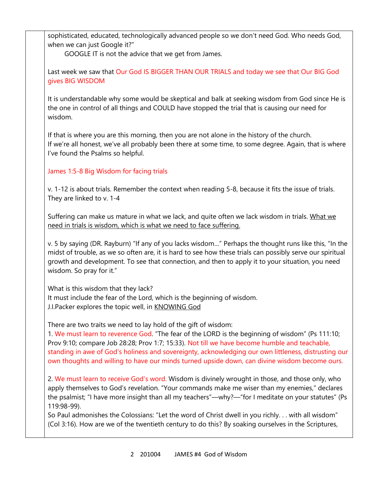sophisticated, educated, technologically advanced people so we don't need God. Who needs God, when we can just Google it?"

GOOGLE IT is not the advice that we get from James.

Last week we saw that Our God IS BIGGER THAN OUR TRIALS and today we see that Our BIG God gives BIG WISDOM

It is understandable why some would be skeptical and balk at seeking wisdom from God since He is the one in control of all things and COULD have stopped the trial that is causing our need for wisdom.

If that is where you are this morning, then you are not alone in the history of the church. If we're all honest, we've all probably been there at some time, to some degree. Again, that is where I've found the Psalms so helpful.

# James 1:5-8 Big Wisdom for facing trials

v. 1-12 is about trials. Remember the context when reading 5-8, because it fits the issue of trials. They are linked to v. 1-4

Suffering can make us mature in what we lack, and quite often we lack wisdom in trials. What we need in trials is wisdom, which is what we need to face suffering.

v. 5 by saying (DR. Rayburn) "If any of you lacks wisdom…" Perhaps the thought runs like this, "In the midst of trouble, as we so often are, it is hard to see how these trials can possibly serve our spiritual growth and development. To see that connection, and then to apply it to your situation, you need wisdom. So pray for it."

What is this wisdom that they lack? It must include the fear of the Lord, which is the beginning of wisdom. J.I.Packer explores the topic well, in KNOWING God

There are two traits we need to lay hold of the gift of wisdom:

1. We must learn to reverence God. "The fear of the LORD is the beginning of wisdom" (Ps 111:10; Prov 9:10; compare Job 28:28; Prov 1:7; 15:33). Not till we have become humble and teachable, standing in awe of God's holiness and sovereignty, acknowledging our own littleness, distrusting our own thoughts and willing to have our minds turned upside down, can divine wisdom become ours.

2. We must learn to receive God's word. Wisdom is divinely wrought in those, and those only, who apply themselves to God's revelation. "Your commands make me wiser than my enemies," declares the psalmist; "I have more insight than all my teachers"—why?—"for I meditate on your statutes" (Ps 119:98-99).

So Paul admonishes the Colossians: "Let the word of Christ dwell in you richly. . . with all wisdom" (Col 3:16). How are we of the twentieth century to do this? By soaking ourselves in the Scriptures,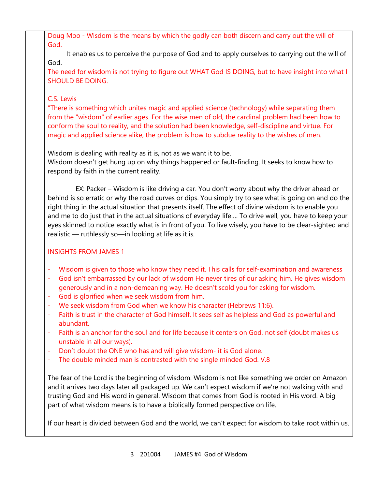Doug Moo - Wisdom is the means by which the godly can both discern and carry out the will of God.

 It enables us to perceive the purpose of God and to apply ourselves to carrying out the will of God.

The need for wisdom is not trying to figure out WHAT God IS DOING, but to have insight into what I SHOULD BE DOING.

### C.S. Lewis

"There is something which unites magic and applied science (technology) while separating them from the "wisdom" of earlier ages. For the wise men of old, the cardinal problem had been how to conform the soul to reality, and the solution had been knowledge, self-discipline and virtue. For magic and applied science alike, the problem is how to subdue reality to the wishes of men.

Wisdom is dealing with reality as it is, not as we want it to be. Wisdom doesn't get hung up on why things happened or fault-finding. It seeks to know how to respond by faith in the current reality.

 EX: Packer – Wisdom is like driving a car. You don't worry about why the driver ahead or behind is so erratic or why the road curves or dips. You simply try to see what is going on and do the right thing in the actual situation that presents itself. The effect of divine wisdom is to enable you and me to do just that in the actual situations of everyday life…. To drive well, you have to keep your eyes skinned to notice exactly what is in front of you. To live wisely, you have to be clear-sighted and realistic — ruthlessly so—in looking at life as it is.

## INSIGHTS FROM JAMES 1

- Wisdom is given to those who know they need it. This calls for self-examination and awareness
- God isn't embarrassed by our lack of wisdom He never tires of our asking him. He gives wisdom generously and in a non-demeaning way. He doesn't scold you for asking for wisdom.
- God is glorified when we seek wisdom from him.
- We seek wisdom from God when we know his character (Hebrews 11:6).
- Faith is trust in the character of God himself. It sees self as helpless and God as powerful and abundant.
- Faith is an anchor for the soul and for life because it centers on God, not self (doubt makes us unstable in all our ways).
- Don't doubt the ONE who has and will give wisdom- it is God alone.
- The double minded man is contrasted with the single minded God. V.8

The fear of the Lord is the beginning of wisdom. Wisdom is not like something we order on Amazon and it arrives two days later all packaged up. We can't expect wisdom if we're not walking with and trusting God and His word in general. Wisdom that comes from God is rooted in His word. A big part of what wisdom means is to have a biblically formed perspective on life.

If our heart is divided between God and the world, we can't expect for wisdom to take root within us.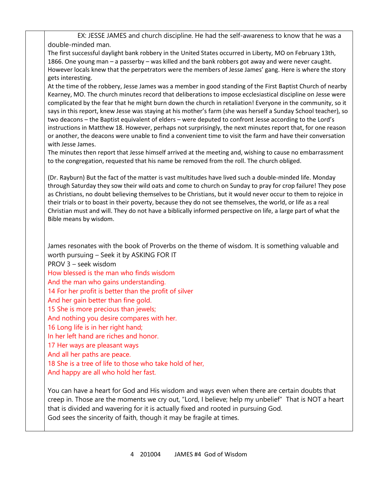EX: JESSE JAMES and church discipline. He had the self-awareness to know that he was a double-minded man. The first successful daylight bank robbery in the United States occurred in Liberty, MO on February 13th,

1866. One young man – a passerby – was killed and the bank robbers got away and were never caught. However locals knew that the perpetrators were the members of Jesse James' gang. Here is where the story gets interesting.

At the time of the robbery, Jesse James was a member in good standing of the First Baptist Church of nearby Kearney, MO. The church minutes record that deliberations to impose ecclesiastical discipline on Jesse were complicated by the fear that he might burn down the church in retaliation! Everyone in the community, so it says in this report, knew Jesse was staying at his mother's farm (she was herself a Sunday School teacher), so two deacons – the Baptist equivalent of elders – were deputed to confront Jesse according to the Lord's instructions in Matthew 18. However, perhaps not surprisingly, the next minutes report that, for one reason or another, the deacons were unable to find a convenient time to visit the farm and have their conversation with Jesse James.

The minutes then report that Jesse himself arrived at the meeting and, wishing to cause no embarrassment to the congregation, requested that his name be removed from the roll. The church obliged.

(Dr. Rayburn) But the fact of the matter is vast multitudes have lived such a double-minded life. Monday through Saturday they sow their wild oats and come to church on Sunday to pray for crop failure! They pose as Christians, no doubt believing themselves to be Christians, but it would never occur to them to rejoice in their trials or to boast in their poverty, because they do not see themselves, the world, or life as a real Christian must and will. They do not have a biblically informed perspective on life, a large part of what the Bible means by wisdom.

James resonates with the book of Proverbs on the theme of wisdom. It is something valuable and worth pursuing – Seek it by ASKING FOR IT PROV 3 – seek wisdom How blessed is the man who finds wisdom And the man who gains understanding. 14 For her profit is better than the profit of silver And her gain better than fine gold. 15 She is more precious than jewels; And nothing you desire compares with her. 16 Long life is in her right hand; In her left hand are riches and honor. 17 Her ways are pleasant ways And all her paths are peace. 18 She is a tree of life to those who take hold of her, And happy are all who hold her fast.

You can have a heart for God and His wisdom and ways even when there are certain doubts that creep in. Those are the moments we cry out, "Lord, I believe; help my unbelief" That is NOT a heart that is divided and wavering for it is actually fixed and rooted in pursuing God. God sees the sincerity of faith, though it may be fragile at times.